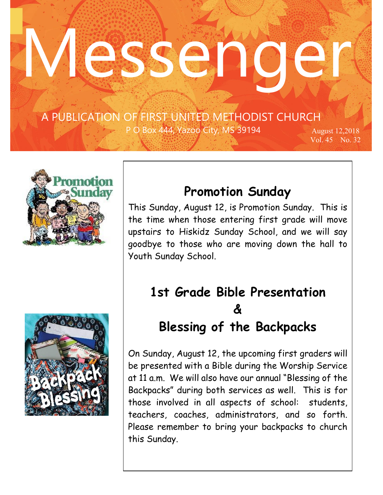# Wesseng

 …copied A PUBLICATION OF FIRST UNITED METHODIST CHURCH

 $\mathcal{F}^{\text{max}}_{\text{max}}$ 

P O Box 444, Yazoo City, MS 39194 August 12,2018

Vol. 45 No. 32





### **Promotion Sunday**

This Sunday, August 12, is Promotion Sunday. This is the time when those entering first grade will move upstairs to Hiskidz Sunday School, and we will say goodbye to those who are moving down the hall to Youth Sunday School.

## **1st Grade Bible Presentation & Blessing of the Backpacks**

On Sunday, August 12, the upcoming first graders will be presented with a Bible during the Worship Service at 11 a.m. We will also have our annual "Blessing of the Backpacks" during both services as well. This is for those involved in all aspects of school: students, teachers, coaches, administrators, and so forth. Please remember to bring your backpacks to church this Sunday.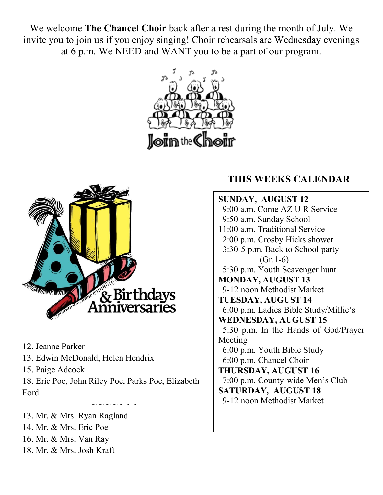We welcome **The Chancel Choir** back after a rest during the month of July. We invite you to join us if you enjoy singing! Choir rehearsals are Wednesday evenings at 6 p.m. We NEED and WANT you to be a part of our program.





12. Jeanne Parker

13. Edwin McDonald, Helen Hendrix

15. Paige Adcock

18. Eric Poe, John Riley Poe, Parks Poe, Elizabeth Ford

 $\sim$   $\sim$   $\sim$   $\sim$   $\sim$   $\sim$   $\sim$ 13. Mr. & Mrs. Ryan Ragland 14. Mr. & Mrs. Eric Poe 16. Mr. & Mrs. Van Ray 18. Mr. & Mrs. Josh Kraft

#### **THIS WEEKS CALENDAR**

**SUNDAY, AUGUST 12** 9:00 a.m. Come AZ U R Service 9:50 a.m. Sunday School 11:00 a.m. Traditional Service 2:00 p.m. Crosby Hicks shower 3:30-5 p.m. Back to School party  $(Gr.1-6)$  5:30 p.m. Youth Scavenger hunt **MONDAY, AUGUST 13** 9-12 noon Methodist Market **TUESDAY, AUGUST 14** 6:00 p.m. Ladies Bible Study/Millie's **WEDNESDAY, AUGUST 15** 5:30 p.m. In the Hands of God/Prayer Meeting 6:00 p.m. Youth Bible Study 6:00 p.m. Chancel Choir **THURSDAY, AUGUST 16** 7:00 p.m. County-wide Men's Club **SATURDAY, AUGUST 18** 9-12 noon Methodist Market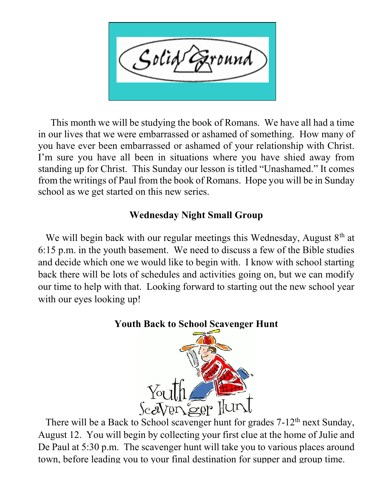Solid ound

 This month we will be studying the book of Romans. We have all had a time in our lives that we were embarrassed or ashamed of something. How many of you have ever been embarrassed or ashamed of your relationship with Christ. I'm sure you have all been in situations where you have shied away from standing up for Christ. This Sunday our lesson is titled "Unashamed." It comes from the writings of Paul from the book of Romans. Hope you will be in Sunday school as we get started on this new series.

#### **Wednesday Night Small Group**

We will begin back with our regular meetings this Wednesday, August  $8<sup>th</sup>$  at 6:15 p.m. in the youth basement. We need to discuss a few of the Bible studies and decide which one we would like to begin with. I know with school starting back there will be lots of schedules and activities going on, but we can modify our time to help with that. Looking forward to starting out the new school year with our eyes looking up!

#### **Youth Back to School Scavenger Hunt**



There will be a Back to School scavenger hunt for grades  $7-12^{th}$  next Sunday, August 12. You will begin by collecting your first clue at the home of Julie and De Paul at 5:30 p.m. The scavenger hunt will take you to various places around town, before leading you to your final destination for supper and group time.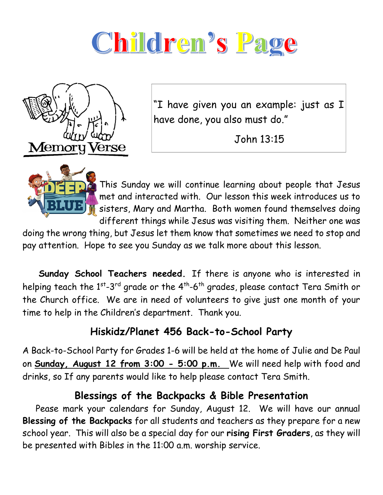



"I have given you an example: just as I have done, you also must do."

John 13:15



This Sunday we will continue learning about people that Jesus met and interacted with. Our lesson this week introduces us to sisters, Mary and Martha. Both women found themselves doing different things while Jesus was visiting them. Neither one was

doing the wrong thing, but Jesus let them know that sometimes we need to stop and pay attention. Hope to see you Sunday as we talk more about this lesson.

 **Sunday School Teachers needed.** If there is anyone who is interested in helping teach the  $1^{st}$ -3<sup>rd</sup> grade or the  $4^{th}$ -6<sup>th</sup> grades, please contact Tera Smith or the Church office. We are in need of volunteers to give just one month of your time to help in the Children's department. Thank you.

#### **Hiskidz/Planet 456 Back-to-School Party**

A Back-to-School Party for Grades 1-6 will be held at the home of Julie and De Paul on **Sunday, August 12 from 3:00 - 5:00 p.m.** We will need help with food and drinks, so If any parents would like to help please contact Tera Smith.

#### **Blessings of the Backpacks & Bible Presentation**

 Pease mark your calendars for Sunday, August 12. We will have our annual **Blessing of the Backpacks** for all students and teachers as they prepare for a new school year. This will also be a special day for our **rising First Graders**, as they will be presented with Bibles in the 11:00 a.m. worship service.